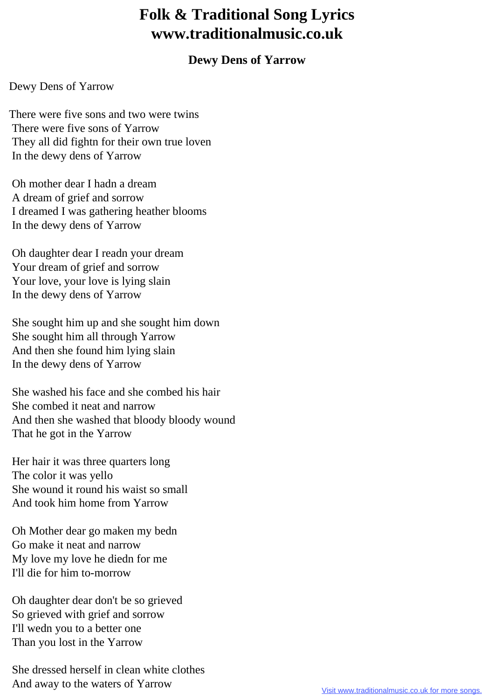## **Folk & Traditional Song Lyrics www.traditionalmusic.co.uk**

## **Dewy Dens of Yarrow**

## Dewy Dens of Yarrow

There were five sons and two were twins There were five sons of Yarrow They all did fightn for their own true loven In the dewy dens of Yarrow

 Oh mother dear I hadn a dream A dream of grief and sorrow I dreamed I was gathering heather blooms In the dewy dens of Yarrow

 Oh daughter dear I readn your dream Your dream of grief and sorrow Your love, your love is lying slain In the dewy dens of Yarrow

 She sought him up and she sought him down She sought him all through Yarrow And then she found him lying slain In the dewy dens of Yarrow

 She washed his face and she combed his hair She combed it neat and narrow And then she washed that bloody bloody wound That he got in the Yarrow

 Her hair it was three quarters long The color it was yello She wound it round his waist so small And took him home from Yarrow

 Oh Mother dear go maken my bedn Go make it neat and narrow My love my love he diedn for me I'll die for him to-morrow

 Oh daughter dear don't be so grieved So grieved with grief and sorrow I'll wedn you to a better one Than you lost in the Yarrow

 She dressed herself in clean white clothes And away to the waters of Yarrow